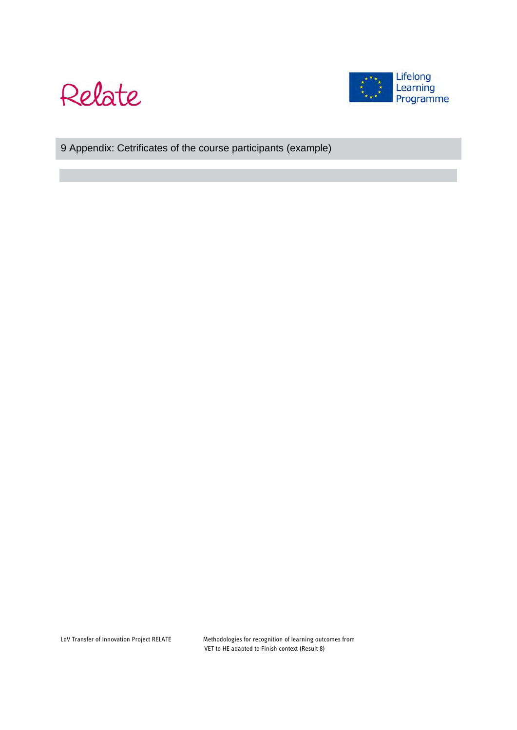



# 9 Appendix: Cetrificates of the course participants (example)

LdV Transfer of Innovation Project RELATE Methodologies for recognition of learning outcomes from VET to HE adapted to Finish context (Result 8)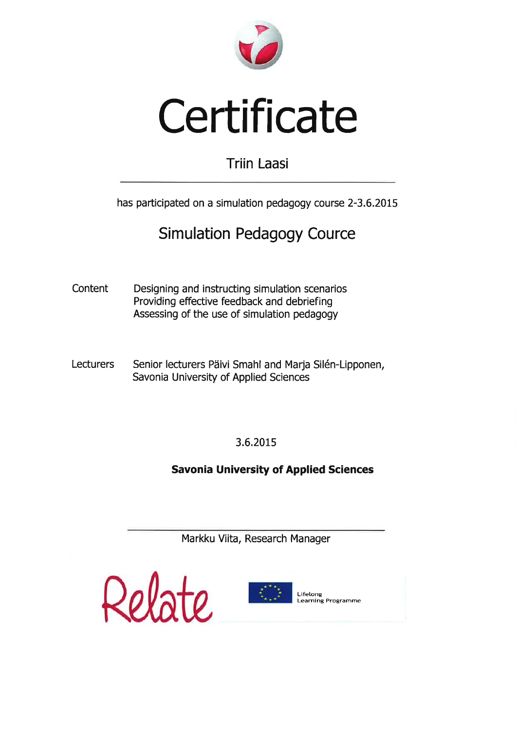

# Certificate

# **Triin Laasi**

has participated on a simulation pedagogy course 2-3.6.2015

# **Simulation Pedagogy Cource**

Content Designing and instructing simulation scenarios Providing effective feedback and debriefing Assessing of the use of simulation pedagogy

**Lecturers** Senior lecturers Päivi Smahl and Marja Silén-Lipponen, Savonia University of Applied Sciences

3.6.2015

**Savonia University of Applied Sciences** 

Markku Viita, Research Manager





Lifelong Learning Programme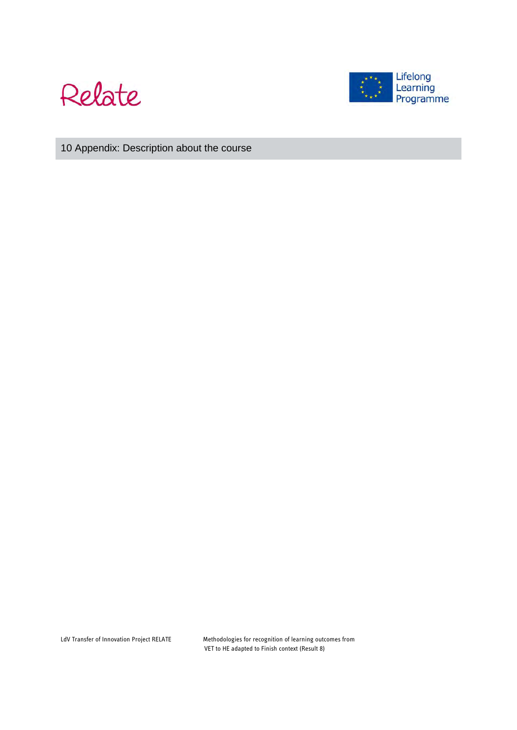



10 Appendix: Description about the course

LdV Transfer of Innovation Project RELATE Methodologies for recognition of learning outcomes from VET to HE adapted to Finish context (Result 8)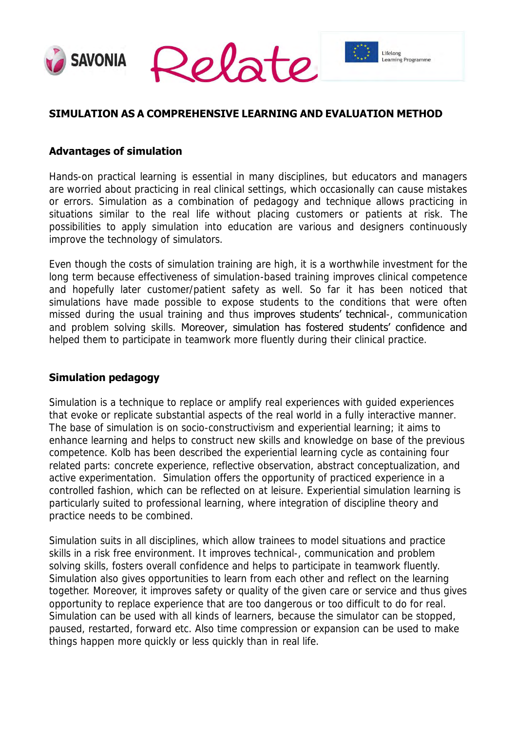



Lifelong

Learning Programme

## **SIMULATION AS A COMPREHENSIVE LEARNING AND EVALUATION METHOD**

#### **Advantages of simulation**

Hands-on practical learning is essential in many disciplines, but educators and managers are worried about practicing in real clinical settings, which occasionally can cause mistakes or errors. Simulation as a combination of pedagogy and technique allows practicing in situations similar to the real life without placing customers or patients at risk. The possibilities to apply simulation into education are various and designers continuously improve the technology of simulators.

Even though the costs of simulation training are high, it is a worthwhile investment for the long term because effectiveness of simulation-based training improves clinical competence and hopefully later customer/patient safety as well. So far it has been noticed that simulations have made possible to expose students to the conditions that were often missed during the usual training and thus improves students' technical-, communication and problem solving skills. Moreover, simulation has fostered students' confidence and helped them to participate in teamwork more fluently during their clinical practice.

#### **Simulation pedagogy**

Simulation is a technique to replace or amplify real experiences with guided experiences that evoke or replicate substantial aspects of the real world in a fully interactive manner. The base of simulation is on socio-constructivism and experiential learning; it aims to enhance learning and helps to construct new skills and knowledge on base of the previous competence. Kolb has been described the experiential learning cycle as containing four related parts: concrete experience, reflective observation, abstract conceptualization, and active experimentation. Simulation offers the opportunity of practiced experience in a controlled fashion, which can be reflected on at leisure. Experiential simulation learning is particularly suited to professional learning, where integration of discipline theory and practice needs to be combined.

Simulation suits in all disciplines, which allow trainees to model situations and practice skills in a risk free environment. It improves technical-, communication and problem solving skills, fosters overall confidence and helps to participate in teamwork fluently. Simulation also gives opportunities to learn from each other and reflect on the learning together. Moreover, it improves safety or quality of the given care or service and thus gives opportunity to replace experience that are too dangerous or too difficult to do for real. Simulation can be used with all kinds of learners, because the simulator can be stopped, paused, restarted, forward etc. Also time compression or expansion can be used to make things happen more quickly or less quickly than in real life.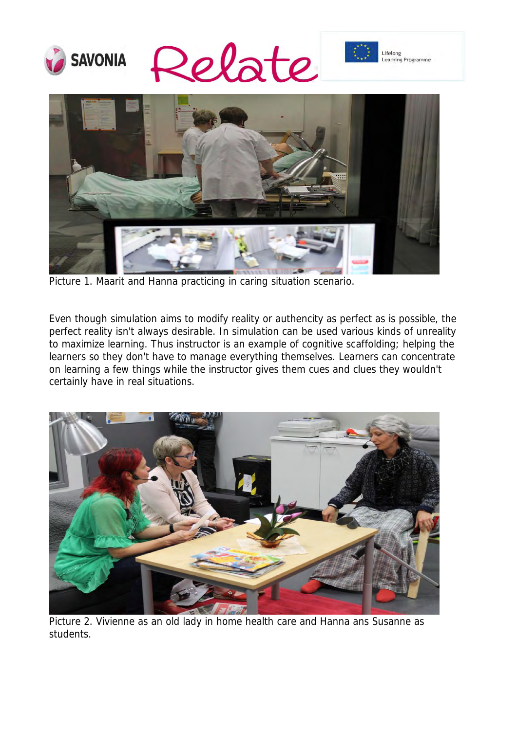







Picture 1. Maarit and Hanna practicing in caring situation scenario.

Even though simulation aims to modify reality or authencity as perfect as is possible, the perfect reality isn't always desirable. In simulation can be used various kinds of unreality to maximize learning. Thus instructor is an example of cognitive scaffolding; helping the learners so they don't have to manage everything themselves. Learners can concentrate on learning a few things while the instructor gives them cues and clues they wouldn't certainly have in real situations.



Picture 2. Vivienne as an old lady in home health care and Hanna ans Susanne as students.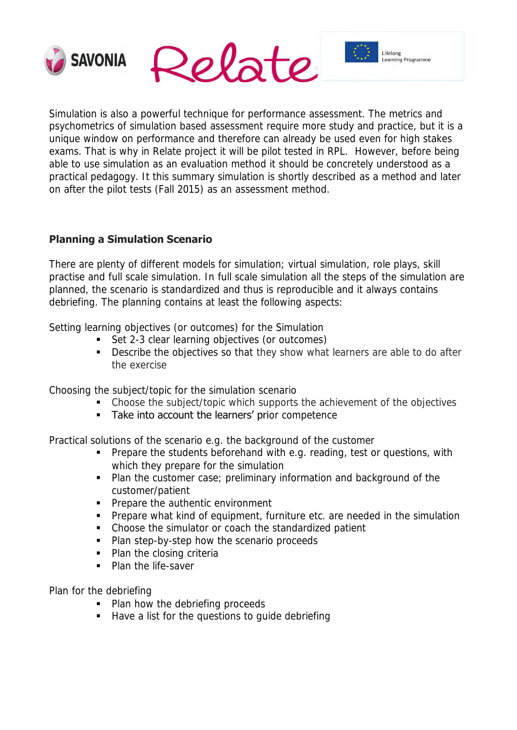



Lifelong

Learning Programme

Simulation is also a powerful technique for performance assessment. The metrics and psychometrics of simulation based assessment require more study and practice, but it is a unique window on performance and therefore can already be used even for high stakes exams. That is why in Relate project it will be pilot tested in RPL. However, before being able to use simulation as an evaluation method it should be concretely understood as a practical pedagogy. It this summary simulation is shortly described as a method and later on after the pilot tests (Fall 2015) as an assessment method.

### **Planning a Simulation Scenario**

There are plenty of different models for simulation; virtual simulation, role plays, skill practise and full scale simulation. In full scale simulation all the steps of the simulation are planned, the scenario is standardized and thus is reproducible and it always contains debriefing. The planning contains at least the following aspects:

Setting learning objectives (or outcomes) for the Simulation

- Set 2-3 clear learning objectives (or outcomes)
- **Describe the objectives so that they show what learners are able to do after** the exercise

Choosing the subject/topic for the simulation scenario

- Choose the subject/topic which supports the achievement of the objectives
- Take into account the learners' prior competence

Practical solutions of the scenario e.g. the background of the customer

- **Prepare the students beforehand with e.g. reading, test or questions, with** which they prepare for the simulation
- **Plan the customer case; preliminary information and background of the** customer/patient
- **Prepare the authentic environment**
- **Prepare what kind of equipment, furniture etc. are needed in the simulation**
- Choose the simulator or coach the standardized patient
- Plan step-by-step how the scenario proceeds
- Plan the closing criteria
- Plan the life-saver

Plan for the debriefing

- Plan how the debriefing proceeds
- Have a list for the questions to quide debriefing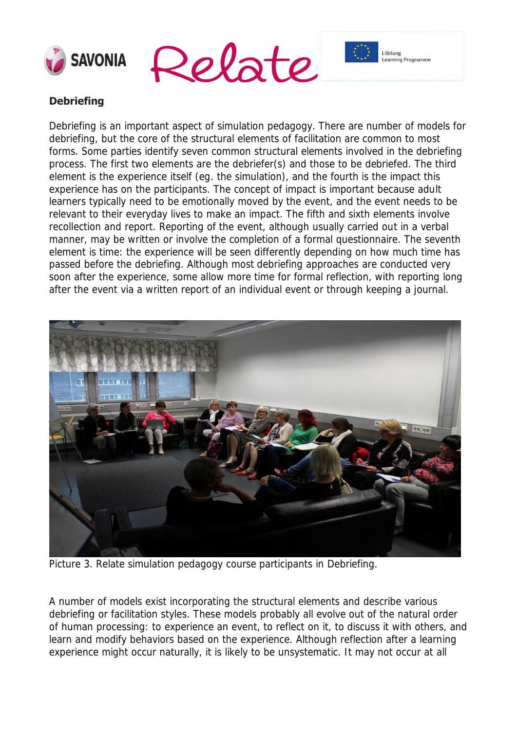





## **Debriefing**

Debriefing is an important aspect of simulation pedagogy. There are number of models for debriefing, but the core of the structural elements of facilitation are common to most forms. Some parties identify seven common structural elements involved in the debriefing process. The first two elements are the debriefer(s) and those to be debriefed. The third element is the experience itself (eg. the simulation), and the fourth is the impact this experience has on the participants. The concept of impact is important because adult learners typically need to be emotionally moved by the event, and the event needs to be relevant to their everyday lives to make an impact. The fifth and sixth elements involve recollection and report. Reporting of the event, although usually carried out in a verbal manner, may be written or involve the completion of a formal questionnaire. The seventh element is time: the experience will be seen differently depending on how much time has passed before the debriefing. Although most debriefing approaches are conducted very soon after the experience, some allow more time for formal reflection, with reporting long after the event via a written report of an individual event or through keeping a journal.



Picture 3. Relate simulation pedagogy course participants in Debriefing.

A number of models exist incorporating the structural elements and describe various debriefing or facilitation styles. These models probably all evolve out of the natural order of human processing: to experience an event, to reflect on it, to discuss it with others, and learn and modify behaviors based on the experience. Although reflection after a learning experience might occur naturally, it is likely to be unsystematic. It may not occur at all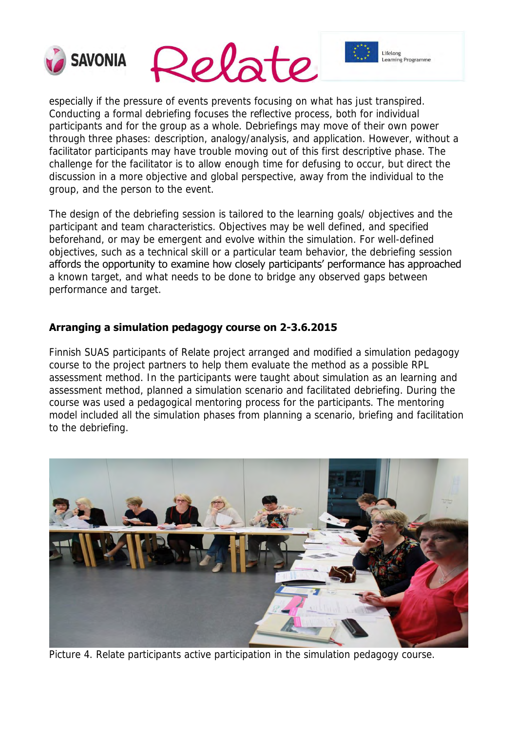



Lifelong

earning Programme

especially if the pressure of events prevents focusing on what has just transpired. Conducting a formal debriefing focuses the reflective process, both for individual participants and for the group as a whole. Debriefings may move of their own power through three phases: description, analogy/analysis, and application. However, without a facilitator participants may have trouble moving out of this first descriptive phase. The challenge for the facilitator is to allow enough time for defusing to occur, but direct the discussion in a more objective and global perspective, away from the individual to the group, and the person to the event.

The design of the debriefing session is tailored to the learning goals/ objectives and the participant and team characteristics. Objectives may be well defined, and specified beforehand, or may be emergent and evolve within the simulation. For well-defined objectives, such as a technical skill or a particular team behavior, the debriefing session affords the opportunity to examine how closely participants' performance has approached a known target, and what needs to be done to bridge any observed gaps between performance and target.

#### **Arranging a simulation pedagogy course on 2-3.6.2015**

Finnish SUAS participants of Relate project arranged and modified a simulation pedagogy course to the project partners to help them evaluate the method as a possible RPL assessment method. In the participants were taught about simulation as an learning and assessment method, planned a simulation scenario and facilitated debriefing. During the course was used a pedagogical mentoring process for the participants. The mentoring model included all the simulation phases from planning a scenario, briefing and facilitation to the debriefing.



Picture 4. Relate participants active participation in the simulation pedagogy course.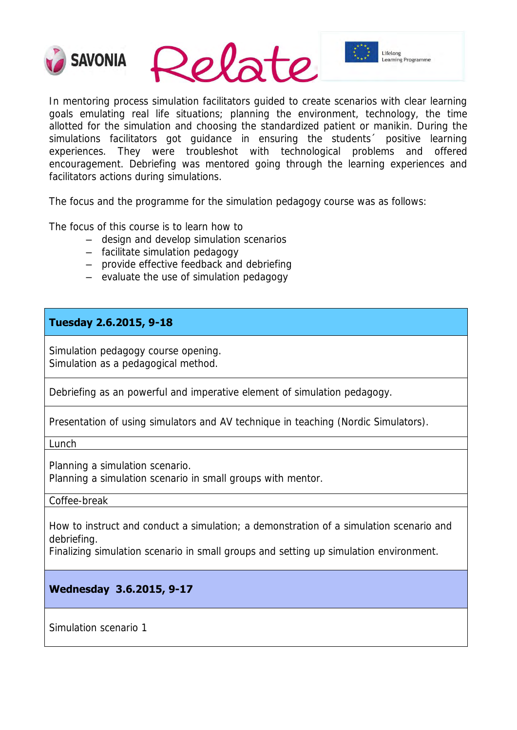

In mentoring process simulation facilitators guided to create scenarios with clear learning goals emulating real life situations; planning the environment, technology, the time allotted for the simulation and choosing the standardized patient or manikin. During the simulations facilitators got guidance in ensuring the students<sup>2</sup> positive learning experiences. They were troubleshot with technological problems and offered encouragement. Debriefing was mentored going through the learning experiences and facilitators actions during simulations.

The focus and the programme for the simulation pedagogy course was as follows:

The focus of this course is to learn how to

- design and develop simulation scenarios
- facilitate simulation pedagogy
- provide effective feedback and debriefing
- evaluate the use of simulation pedagogy

#### **Tuesday 2.6.2015, 9-18**

Simulation pedagogy course opening. Simulation as a pedagogical method.

Debriefing as an powerful and imperative element of simulation pedagogy.

Presentation of using simulators and AV technique in teaching (Nordic Simulators).

Lunch

Planning a simulation scenario.

Planning a simulation scenario in small groups with mentor.

Coffee-break

How to instruct and conduct a simulation; a demonstration of a simulation scenario and debriefing.

Finalizing simulation scenario in small groups and setting up simulation environment.

#### **Wednesday 3.6.2015, 9-17**

Simulation scenario 1